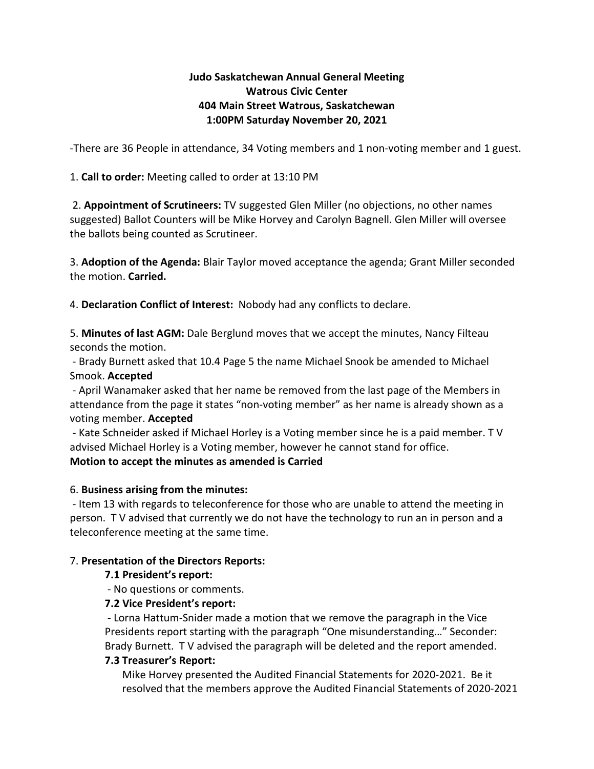# **Judo Saskatchewan Annual General Meeting Watrous Civic Center 404 Main Street Watrous, Saskatchewan 1:00PM Saturday November 20, 2021**

-There are 36 People in attendance, 34 Voting members and 1 non-voting member and 1 guest.

1. **Call to order:** Meeting called to order at 13:10 PM

2. **Appointment of Scrutineers:** TV suggested Glen Miller (no objections, no other names suggested) Ballot Counters will be Mike Horvey and Carolyn Bagnell. Glen Miller will oversee the ballots being counted as Scrutineer.

3. **Adoption of the Agenda:** Blair Taylor moved acceptance the agenda; Grant Miller seconded the motion. **Carried.**

4. **Declaration Conflict of Interest:** Nobody had any conflicts to declare.

5. **Minutes of last AGM:** Dale Berglund moves that we accept the minutes, Nancy Filteau seconds the motion.

- Brady Burnett asked that 10.4 Page 5 the name Michael Snook be amended to Michael Smook. **Accepted**

- April Wanamaker asked that her name be removed from the last page of the Members in attendance from the page it states "non-voting member" as her name is already shown as a voting member. **Accepted**

- Kate Schneider asked if Michael Horley is a Voting member since he is a paid member. T V advised Michael Horley is a Voting member, however he cannot stand for office.

# **Motion to accept the minutes as amended is Carried**

#### 6. **Business arising from the minutes:**

- Item 13 with regards to teleconference for those who are unable to attend the meeting in person. T V advised that currently we do not have the technology to run an in person and a teleconference meeting at the same time.

#### 7. **Presentation of the Directors Reports:**

# **7.1 President's report:**

- No questions or comments.

# **7.2 Vice President's report:**

- Lorna Hattum-Snider made a motion that we remove the paragraph in the Vice Presidents report starting with the paragraph "One misunderstanding…" Seconder: Brady Burnett. T V advised the paragraph will be deleted and the report amended.

#### **7.3 Treasurer's Report:**

Mike Horvey presented the Audited Financial Statements for 2020-2021. Be it resolved that the members approve the Audited Financial Statements of 2020-2021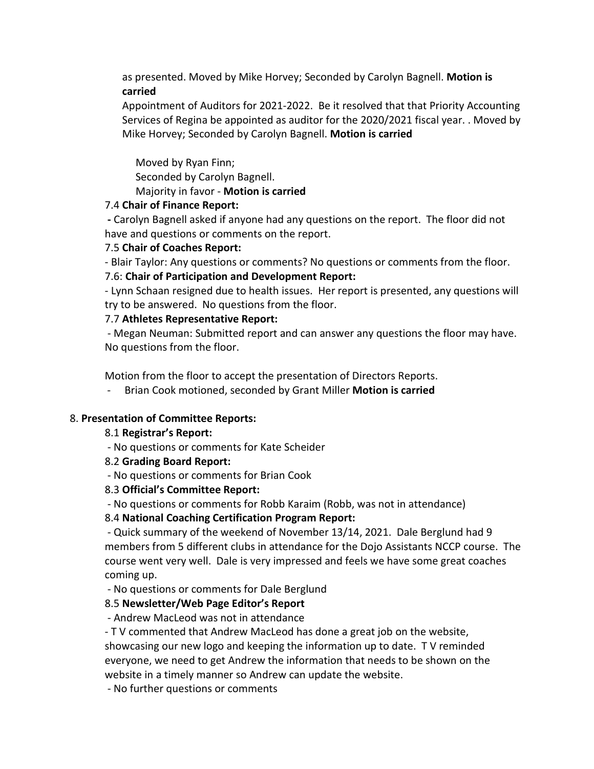as presented. Moved by Mike Horvey; Seconded by Carolyn Bagnell. **Motion is carried**

Appointment of Auditors for 2021-2022. Be it resolved that that Priority Accounting Services of Regina be appointed as auditor for the 2020/2021 fiscal year. . Moved by Mike Horvey; Seconded by Carolyn Bagnell. **Motion is carried**

Moved by Ryan Finn; Seconded by Carolyn Bagnell.

# Majority in favor - **Motion is carried**

### 7.4 **Chair of Finance Report:**

**-** Carolyn Bagnell asked if anyone had any questions on the report. The floor did not have and questions or comments on the report.

### 7.5 **Chair of Coaches Report:**

- Blair Taylor: Any questions or comments? No questions or comments from the floor.

### 7.6: **Chair of Participation and Development Report:**

- Lynn Schaan resigned due to health issues. Her report is presented, any questions will try to be answered. No questions from the floor.

### 7.7 **Athletes Representative Report:**

- Megan Neuman: Submitted report and can answer any questions the floor may have. No questions from the floor.

Motion from the floor to accept the presentation of Directors Reports.

- Brian Cook motioned, seconded by Grant Miller **Motion is carried**

# 8. **Presentation of Committee Reports:**

#### 8.1 **Registrar's Report:**

- No questions or comments for Kate Scheider

# 8.2 **Grading Board Report:**

- No questions or comments for Brian Cook

# 8.3 **Official's Committee Report:**

- No questions or comments for Robb Karaim (Robb, was not in attendance)

# 8.4 **National Coaching Certification Program Report:**

- Quick summary of the weekend of November 13/14, 2021. Dale Berglund had 9 members from 5 different clubs in attendance for the Dojo Assistants NCCP course. The course went very well. Dale is very impressed and feels we have some great coaches coming up.

- No questions or comments for Dale Berglund

# 8.5 **Newsletter/Web Page Editor's Report**

- Andrew MacLeod was not in attendance

- T V commented that Andrew MacLeod has done a great job on the website, showcasing our new logo and keeping the information up to date. T V reminded everyone, we need to get Andrew the information that needs to be shown on the website in a timely manner so Andrew can update the website.

- No further questions or comments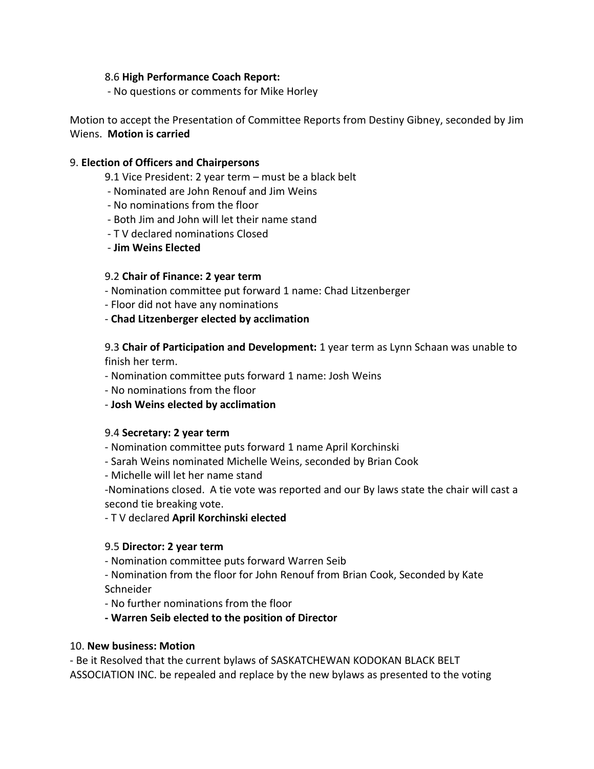### 8.6 **High Performance Coach Report:**

- No questions or comments for Mike Horley

Motion to accept the Presentation of Committee Reports from Destiny Gibney, seconded by Jim Wiens. **Motion is carried**

### 9. **Election of Officers and Chairpersons**

- 9.1 Vice President: 2 year term must be a black belt
- Nominated are John Renouf and Jim Weins
- No nominations from the floor
- Both Jim and John will let their name stand
- T V declared nominations Closed
- **Jim Weins Elected**

#### 9.2 **Chair of Finance: 2 year term**

- Nomination committee put forward 1 name: Chad Litzenberger
- Floor did not have any nominations
- **Chad Litzenberger elected by acclimation**

### 9.3 **Chair of Participation and Development:** 1 year term as Lynn Schaan was unable to finish her term.

- Nomination committee puts forward 1 name: Josh Weins
- No nominations from the floor
- **Josh Weins elected by acclimation**

#### 9.4 **Secretary: 2 year term**

- Nomination committee puts forward 1 name April Korchinski
- Sarah Weins nominated Michelle Weins, seconded by Brian Cook
- Michelle will let her name stand

-Nominations closed. A tie vote was reported and our By laws state the chair will cast a second tie breaking vote.

#### - T V declared **April Korchinski elected**

#### 9.5 **Director: 2 year term**

- Nomination committee puts forward Warren Seib
- Nomination from the floor for John Renouf from Brian Cook, Seconded by Kate Schneider
- No further nominations from the floor
- **- Warren Seib elected to the position of Director**

#### 10. **New business: Motion**

- Be it Resolved that the current bylaws of SASKATCHEWAN KODOKAN BLACK BELT ASSOCIATION INC. be repealed and replace by the new bylaws as presented to the voting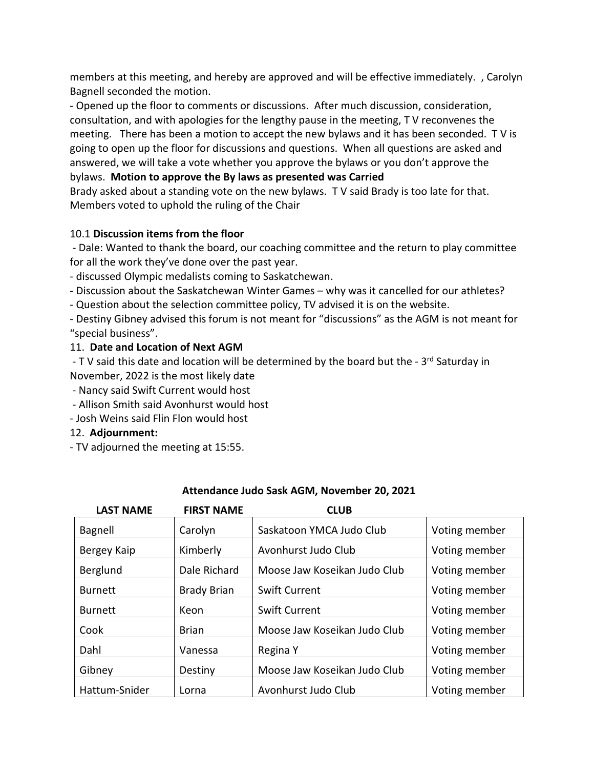members at this meeting, and hereby are approved and will be effective immediately. , Carolyn Bagnell seconded the motion.

- Opened up the floor to comments or discussions. After much discussion, consideration, consultation, and with apologies for the lengthy pause in the meeting, T V reconvenes the meeting. There has been a motion to accept the new bylaws and it has been seconded. T V is going to open up the floor for discussions and questions. When all questions are asked and answered, we will take a vote whether you approve the bylaws or you don't approve the bylaws. **Motion to approve the By laws as presented was Carried**

Brady asked about a standing vote on the new bylaws. T V said Brady is too late for that. Members voted to uphold the ruling of the Chair

# 10.1 **Discussion items from the floor**

- Dale: Wanted to thank the board, our coaching committee and the return to play committee for all the work they've done over the past year.

- discussed Olympic medalists coming to Saskatchewan.

- Discussion about the Saskatchewan Winter Games – why was it cancelled for our athletes?

- Question about the selection committee policy, TV advised it is on the website.

- Destiny Gibney advised this forum is not meant for "discussions" as the AGM is not meant for "special business".

### 11. **Date and Location of Next AGM**

- T V said this date and location will be determined by the board but the -  $3^{rd}$  Saturday in November, 2022 is the most likely date

- Nancy said Swift Current would host

- Allison Smith said Avonhurst would host
- Josh Weins said Flin Flon would host

#### 12. **Adjournment:**

- TV adjourned the meeting at 15:55.

| <b>LAST NAME</b> | <b>FIRST NAME</b>  | <b>CLUB</b>                  |               |
|------------------|--------------------|------------------------------|---------------|
| Bagnell          | Carolyn            | Saskatoon YMCA Judo Club     | Voting member |
| Bergey Kaip      | Kimberly           | Avonhurst Judo Club          | Voting member |
| Berglund         | Dale Richard       | Moose Jaw Koseikan Judo Club | Voting member |
| <b>Burnett</b>   | <b>Brady Brian</b> | <b>Swift Current</b>         | Voting member |
| <b>Burnett</b>   | Keon               | <b>Swift Current</b>         | Voting member |
| Cook             | <b>Brian</b>       | Moose Jaw Koseikan Judo Club | Voting member |
| Dahl             | Vanessa            | Regina Y                     | Voting member |
| Gibney           | Destiny            | Moose Jaw Koseikan Judo Club | Voting member |
| Hattum-Snider    | Lorna              | Avonhurst Judo Club          | Voting member |

#### **Attendance Judo Sask AGM, November 20, 2021**